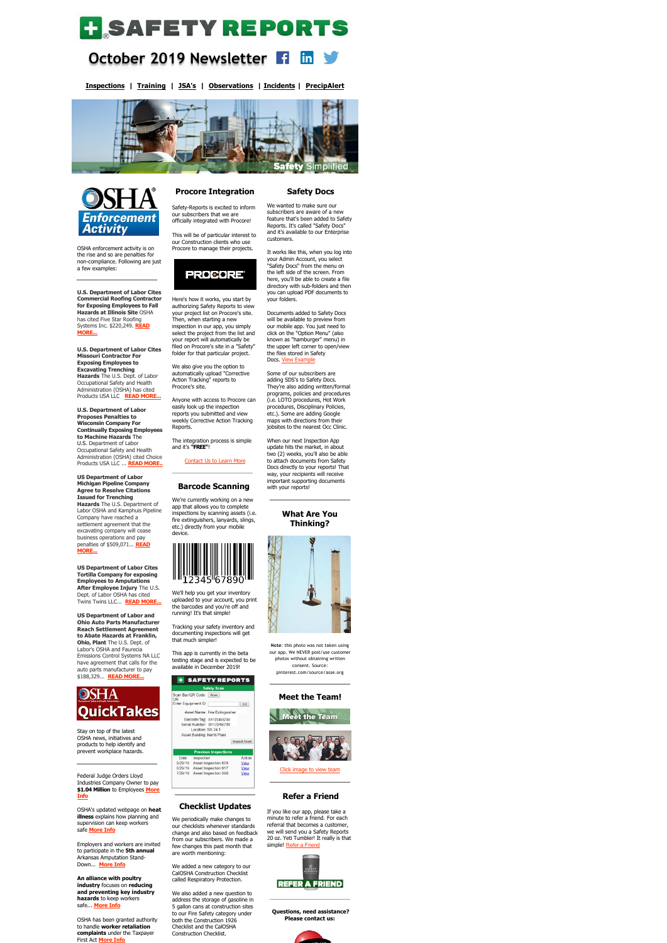# **H**SAFETYREPORTS

#### **October 2019 Newsletter**   $\mathsf{in}$

**[Inspections](https://www.safety-reports.com/safety-inspection/) | [Training](https://www.safety-reports.com/safety-training/) | [JSA's](https://www.safety-reports.com/jsa/) | [Observations](https://www.safety-reports.com/safety-observation-app/) | [Incidents](https://www.safety-reports.com/safety-incident-app/) | [PrecipAlert](https://www.safety-reports.com/precipalert/)**





OSHA enforcement activity is on the rise and so are penalties for non-compliance. Following are just a few examples:

**U.S. Department of Labor Cites Commercial Roofing Contractor for Exposing Employees to Fall Hazards at Illinois Site** OSHA has cited Five Star Roofing [Systems Inc. \\$220,249.](https://www.safety-reports.com/blog/october-enforcement/#illinois) **READ MORE...**

**U.S. Department of Labor Cites Missouri Contractor For Exposing Employees to Excavating Trenching Hazards** The U.S. Dept. of Labor Occupational Safety and Health Administration (OSHA) has cited Products USA LLC **[READ MORE...](https://www.safety-reports.com/blog/october-enforcement/#missouri)**

**U.S. Department of Labor Proposes Penalties to Wisconsin Company For Continually Exposing Employees to Machine Hazards** The U.S. Department of Labor Occupational Safety and Health Administration (OSHA) cited Choice Products USA LLC ... **[READ MORE..](https://www.safety-reports.com/blog/october-enforcement/#wisconsin)**

**US Department of Labor Michigan Pipeline Company Agree to Resolve Citations Issued for Trenching Hazards** The U.S. Department of Labor OSHA and Kamphuis Pipeline Company have reached a settlement agreement that the excavating company will cease business operations and pay [penalties of \\$509,071...](https://www.safety-reports.com/blog/october-enforcement/#michigan) **READ MORE...**

**US Department of Labor Cites Tortilla Company for exposing Employees to Amputations After Employee Injury** The U.S. Dept. of Labor OSHA has cited Twins Twins LLC... **[READ MORE...](https://www.safety-reports.com/blog/october-enforcement/#florida)**

**US Department of Labor and Ohio Auto Parts Manufacturer Reach Settlement Agreement to Abate Hazards at Franklin, Ohio, Plant** The U.S. Dept. of Labor's OSHA and Faurecia Emissions Control Systems NA LLC have agreement that calls for the auto parts manufacturer to pay \$188,329... **[READ MORE...](https://www.safety-reports.com/blog/october-enforcement/#ohio)**



Stay on top of the latest OSHA news, initiatives and products to help identify and prevent workplace hazards.

Federal Judge Orders Lloyd Industries Company Owner to pay **\$1.04 Million** [to Employees](https://www.safety-reports.com/blog/october-quicktakes/#court) **More Info**

OSHA's updated webpage on **heat illness** explains how planning and supervision can keep workers safe **[More Info](https://www.safety-reports.com/blog/october-quicktakes/#heat)**

Employers and workers are invited to participate in the **5th annual** Arkansas Amputation Stand-Down... **[More Info](https://www.safety-reports.com/blog/october-quicktakes/#amputations)**

**[An alliance with](http://www.safety-reports.com/2017/11/28/industry-guide-provides-best-practices-high-school-construction-programs/) poultry industry** focuses on **reducing and preventing key industry hazards** to keep workers safe... **[More Info](https://www.safety-reports.com/blog/october-quicktakes/#alliance)**

OSHA has been granted authority to handle **worker retaliation complaints** under the Taxpayer First Act **[More Info](https://www.safety-reports.com/blog/october-quicktakes/#osha)**

Documents added to Safety Docs will be available to preview from our mobile app. You just need to click on the "Option Menu" (also known as "hamburger" menu) in the upper left corner to open/view the files stored in Safety Docs. [View Example](https://www.safety-reports.com/safety-docs/)

### **Procore Integration** Safety-Reports is excited to inform

our subscribers that we are officially integrated with Procore!

This will be of particular interest to our Construction clients who use Procore to manage their projects.



Here's how it works, you start by authorizing Safety Reports to view your project list on Procore's site. Then, when starting a new inspection in our app, you simply select the project from the list and your report will automatically be filed on Procore's site in a "Safety" folder for that particular project.

> If you like our app, please take a minute to refer a friend. For each referral that becomes a customer, we will send you a Safety Reports 20 oz. Yeti Tumbler! It really is that simple! [Refer a Friend](https://login.safety-reports.com/referral?promocode=Yeti)



We also give you the option to automatically upload "Corrective Action Tracking" reports to Procore's site.

Anyone with access to Procore can easily look up the inspection reports you submitted and view weekly Corrective Action Tracking Reports.

The integration process is simple and it's **"FREE"**!

## [Contact Us to Learn More](http://safety-reports.com/contact-us)

**Barcode Scanning** 

We're currently working on a new

app that allows you to complete inspections by scanning assets (i.e. fire extinguishers, lanyards, slings, etc.) directly from your mobile device.



We'll help you get your inventory uploaded to your account, you print the barcodes and you're off and running! It's that simple!

Tracking your safety inventory and documenting inspections will get that much simpler!

This app is currently in the beta testing stage and is expected to be available in December 2019!

+ SAFETY REPORTS **Safety Sca** 

Scan Bar/QR Code Scan Enter Equipment ID GO

> Asset Name: Fire Extinguisher Barcode/Tag: SR123456789 Serial Number: SR123456789 Location: SS 24.1

Asset Building: North Plant Inspect Asset

**Previous Insp** Inspection Action Date 9/29/19 Asset Inspection 678 View 8/29/19 Asset Inspection 617 View 7/29/19 Asset Inspection 598 View



We periodically make changes to our checklists whenever standards change and also based on feedback from our subscribers. We made a few changes this past month that are worth mentioning:

We added a new category to our CalOSHA Construction Checklist called Respiratory Protection.

We also added a new question to address the storage of gasoline in 5 gallon cans at construction sites to our Fire Safety category under both the Construction 1926 Checklist and the CalOSHA Construction Checklist.

#### **Safety Docs**

We wanted to make sure our subscribers are aware of a new feature that's been added to Safety Reports. It's called "Safety Docs" and it's available to our Enterprise customers.

It works like this, when you log into your Admin Account, you select "Safety Docs" from the menu on the left side of the screen. From here, you'll be able to create a file directory with sub-folders and then you can upload PDF documents to your folders.

Some of our subscribers are adding SDS's to Safety Docs. They're also adding written/formal programs, policies and procedures (i.e. LOTO procedures, Hot Work procedures, Disciplinary Policies, etc.). Some are adding Google maps with directions from their jobsites to the nearest Occ Clinic.

When our next Inspection App update hits the market, in about two (2) weeks, you'll also be able to attach documents from Safety Docs directly to your reports! That way, your recipients will receive important supporting documents with your reports!

> **What Are You Thinking?**



**Note**: this photo was not taken using our app. We NEVER post/use customer photos without obtaining written consent. Source: pinterest.com/source/asse.org

Ř

#### **[Meet the Team!](https://www.safety-reports.com/blog/4-podcasts-for-safety-professionals/)**



[Click image to view team](https://www.safety-reports.com/about/)

#### **Refer a Friend**

**Questions, need assistance? Please contact us:**



# leet the Team